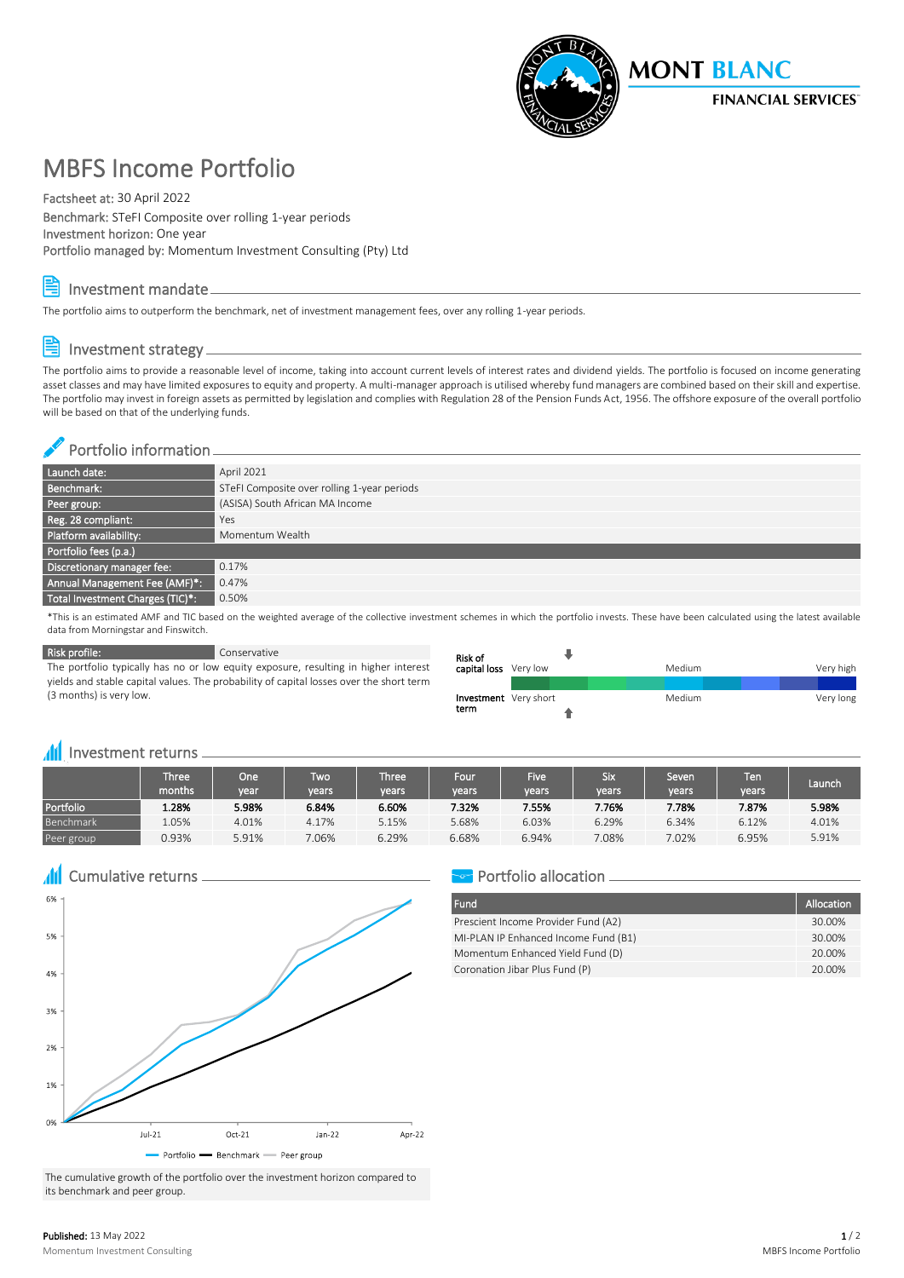

## MBFS Income Portfolio

#### Factsheet at: 30 April 2022

Benchmark: STeFI Composite over rolling 1-year periods Investment horizon: One year Portfolio managed by: Momentum Investment Consulting (Pty) Ltd



#### Investment mandate

The portfolio aims to outperform the benchmark, net of investment management fees, over any rolling 1-year periods.

### Investment strategy

The portfolio aims to provide a reasonable level of income, taking into account current levels of interest rates and dividend yields. The portfolio is focused on income generating asset classes and may have limited exposures to equity and property. A multi-manager approach is utilised whereby fund managers are combined based on their skill and expertise. The portfolio may invest in foreign assets as permitted by legislation and complies with Regulation 28 of the Pension Funds Act, 1956. The offshore exposure of the overall portfolio will be based on that of the underlying funds.

#### Portfolio information

| Launch date:                     | April 2021                                  |
|----------------------------------|---------------------------------------------|
| Benchmark:                       | STeFI Composite over rolling 1-year periods |
| Peer group:                      | (ASISA) South African MA Income             |
| Reg. 28 compliant:               | Yes                                         |
| Platform availability:           | Momentum Wealth                             |
| Portfolio fees (p.a.)            |                                             |
| Discretionary manager fee:       | 0.17%                                       |
| Annual Management Fee (AMF)*:    | 0.47%                                       |
| Total Investment Charges (TIC)*: | 0.50%                                       |

\*This is an estimated AMF and TIC based on the weighted average of the collective investment schemes in which the portfolio invests. These have been calculated using the latest available data from Morningstar and Finswitch.

**Risk profile:** Conservative

The portfolio typically has no or low equity exposure, resulting in higher interest yields and stable capital values. The probability of capital losses over the short term (3 months) is very low.

| Risk of                       |  |  |           |        |  |  |           |
|-------------------------------|--|--|-----------|--------|--|--|-----------|
| capital loss Very low         |  |  | Very high |        |  |  |           |
|                               |  |  |           |        |  |  |           |
| Investment Very short<br>term |  |  |           | Medium |  |  | Very long |
|                               |  |  |           |        |  |  |           |

#### **III** Investment returns <sub>-</sub>

|            | Three'<br>months. | One <sup>-</sup><br>vear | <b>Two</b><br>vears | <b>Three</b><br>years' | Four<br>years | <b>Five</b><br>vears | Six<br>vears | Seven<br>vears | Ten.<br>vears | Launch |
|------------|-------------------|--------------------------|---------------------|------------------------|---------------|----------------------|--------------|----------------|---------------|--------|
| Portfolio  | 1.28%             | 5.98%                    | 6.84%               | 6.60%                  | 7.32%         | 7.55%                | 7.76%        | 7.78%          | 7.87%         | 5.98%  |
| Benchmark  | .05%              | 4.01%                    | 4.17%               | 5.15%                  | 5.68%         | 6.03%                | 6.29%        | 6.34%          | 6.12%         | 4.01%  |
| Peer group | 0.93%             | 5.91%                    | 7.06%               | 6.29%                  | 6.68%         | 6.94%                | 7.08%        | 7.02%          | 6.95%         | 5.91%  |

**All** Cumulative returns



#### The cumulative growth of the portfolio over the investment horizon compared to its benchmark and peer group.

#### **Portfolio allocation**

| Fund                                 | Allocation |
|--------------------------------------|------------|
| Prescient Income Provider Fund (A2)  | 30.00%     |
| MI-PLAN IP Enhanced Income Fund (B1) | 30.00%     |
| Momentum Enhanced Yield Fund (D)     | 20.00%     |
| Coronation Jibar Plus Fund (P)       | 20,00%     |